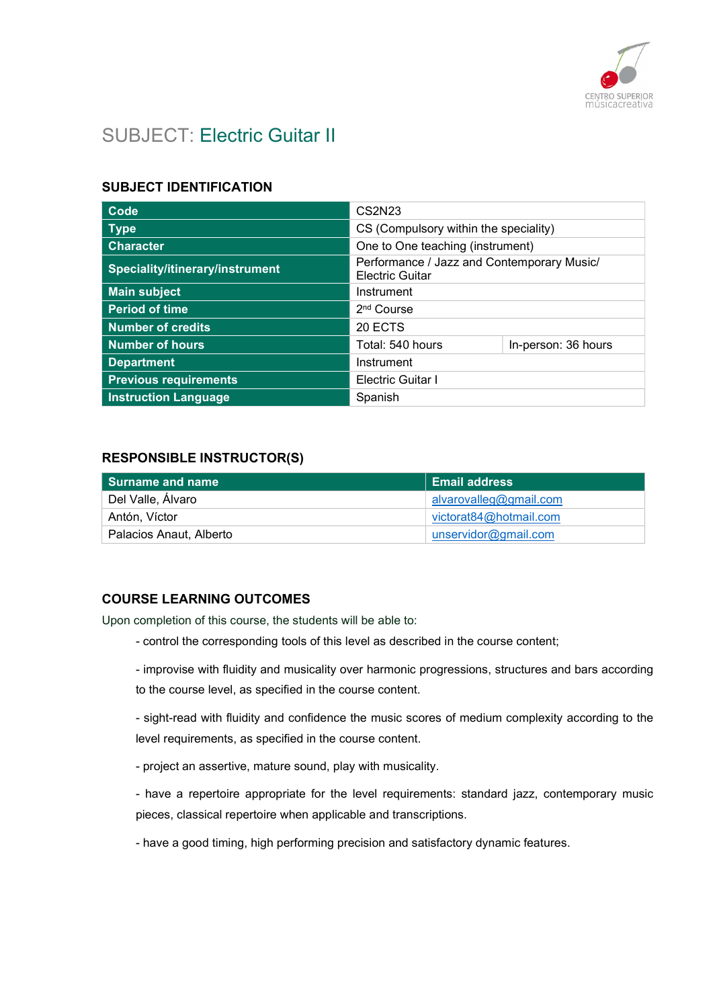

# SUBJECT: Electric Guitar II

### SUBJECT IDENTIFICATION

| Code                            | CS2N23                                                               |  |  |
|---------------------------------|----------------------------------------------------------------------|--|--|
| <b>Type</b>                     | CS (Compulsory within the speciality)                                |  |  |
| <b>Character</b>                | One to One teaching (instrument)                                     |  |  |
| Speciality/itinerary/instrument | Performance / Jazz and Contemporary Music/<br><b>Electric Guitar</b> |  |  |
| <b>Main subject</b>             | Instrument                                                           |  |  |
| <b>Period of time</b>           | 2 <sup>nd</sup> Course                                               |  |  |
| <b>Number of credits</b>        | 20 ECTS                                                              |  |  |
| <b>Number of hours</b>          | Total: 540 hours<br>In-person: 36 hours                              |  |  |
| <b>Department</b>               | Instrument                                                           |  |  |
| <b>Previous requirements</b>    | <b>Electric Guitar I</b>                                             |  |  |
| <b>Instruction Language</b>     | Spanish                                                              |  |  |

### RESPONSIBLE INSTRUCTOR(S)

| l Surname and name      | <b>Email address</b>   |
|-------------------------|------------------------|
| Del Valle, Álvaro       | alvarovalleg@gmail.com |
| Antón, Víctor           | victorat84@hotmail.com |
| Palacios Anaut, Alberto | unservidor@gmail.com   |

### COURSE LEARNING OUTCOMES

Upon completion of this course, the students will be able to:

- control the corresponding tools of this level as described in the course content;
- improvise with fluidity and musicality over harmonic progressions, structures and bars according to the course level, as specified in the course content.

- sight-read with fluidity and confidence the music scores of medium complexity according to the level requirements, as specified in the course content.

- project an assertive, mature sound, play with musicality.
- have a repertoire appropriate for the level requirements: standard jazz, contemporary music pieces, classical repertoire when applicable and transcriptions.
- have a good timing, high performing precision and satisfactory dynamic features.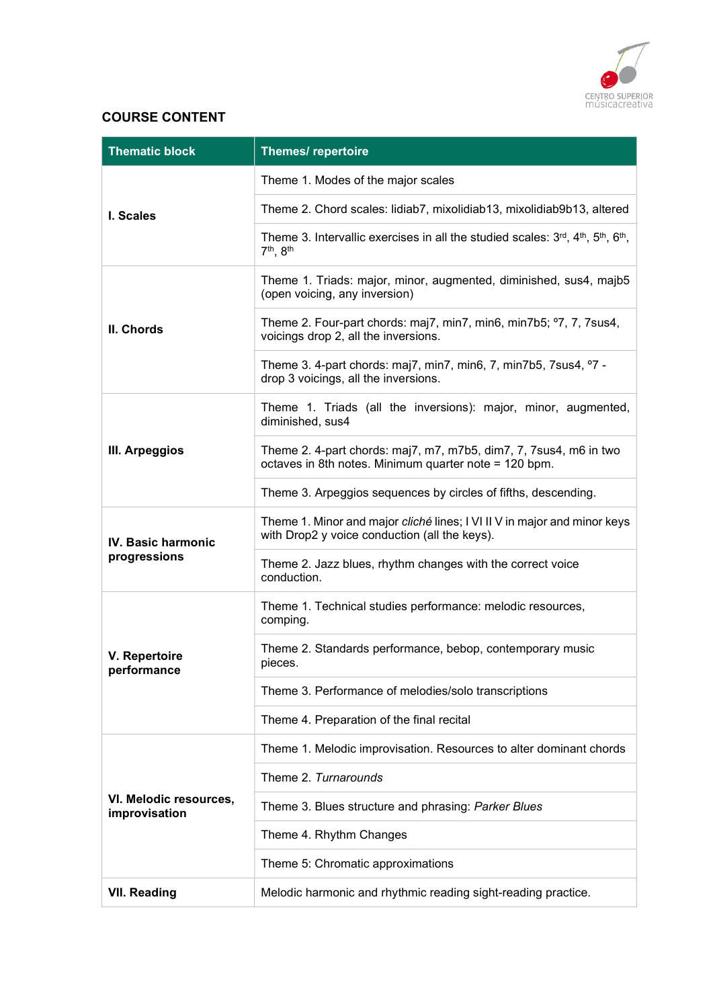

# COURSE CONTENT

| <b>Thematic block</b>                   | <b>Themes/ repertoire</b>                                                                                                                  |  |  |
|-----------------------------------------|--------------------------------------------------------------------------------------------------------------------------------------------|--|--|
|                                         | Theme 1. Modes of the major scales                                                                                                         |  |  |
| I. Scales                               | Theme 2. Chord scales: lidiab7, mixolidiab13, mixolidiab9b13, altered                                                                      |  |  |
|                                         | Theme 3. Intervallic exercises in all the studied scales: $3^{rd}$ , $4^{th}$ , $5^{th}$ , $6^{th}$ ,<br>7 <sup>th</sup> , 8 <sup>th</sup> |  |  |
|                                         | Theme 1. Triads: major, minor, augmented, diminished, sus4, majb5<br>(open voicing, any inversion)                                         |  |  |
| II. Chords                              | Theme 2. Four-part chords: maj7, min7, min6, min7b5; °7, 7, 7 sus4,<br>voicings drop 2, all the inversions.                                |  |  |
|                                         | Theme 3. 4-part chords: maj7, min7, min6, 7, min7b5, 7sus4, °7 -<br>drop 3 voicings, all the inversions.                                   |  |  |
|                                         | Theme 1. Triads (all the inversions): major, minor, augmented,<br>diminished, sus4                                                         |  |  |
| III. Arpeggios                          | Theme 2. 4-part chords: maj7, m7, m7b5, dim7, 7, 7sus4, m6 in two<br>octaves in 8th notes. Minimum quarter note = 120 bpm.                 |  |  |
|                                         | Theme 3. Arpeggios sequences by circles of fifths, descending.                                                                             |  |  |
| <b>IV. Basic harmonic</b>               | Theme 1. Minor and major cliché lines; I VI II V in major and minor keys<br>with Drop2 y voice conduction (all the keys).                  |  |  |
| progressions                            | Theme 2. Jazz blues, rhythm changes with the correct voice<br>conduction.                                                                  |  |  |
|                                         | Theme 1. Technical studies performance: melodic resources,<br>comping.                                                                     |  |  |
| V. Repertoire<br>performance            | Theme 2. Standards performance, bebop, contemporary music<br>pieces.                                                                       |  |  |
|                                         | Theme 3. Performance of melodies/solo transcriptions                                                                                       |  |  |
|                                         | Theme 4. Preparation of the final recital                                                                                                  |  |  |
|                                         | Theme 1. Melodic improvisation. Resources to alter dominant chords                                                                         |  |  |
|                                         | Theme 2. Turnarounds                                                                                                                       |  |  |
| VI. Melodic resources,<br>improvisation | Theme 3. Blues structure and phrasing: Parker Blues                                                                                        |  |  |
|                                         | Theme 4. Rhythm Changes                                                                                                                    |  |  |
|                                         | Theme 5: Chromatic approximations                                                                                                          |  |  |
| <b>VII. Reading</b>                     | Melodic harmonic and rhythmic reading sight-reading practice.                                                                              |  |  |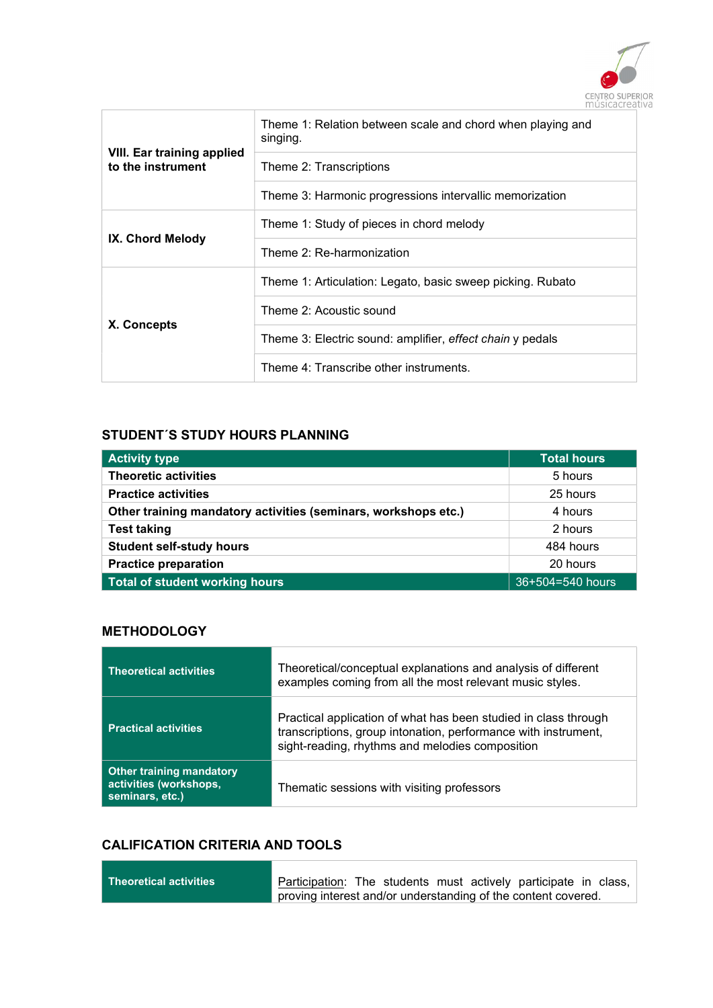

|                                                        | Theme 1: Relation between scale and chord when playing and<br>singing. |
|--------------------------------------------------------|------------------------------------------------------------------------|
| <b>VIII. Ear training applied</b><br>to the instrument | Theme 2: Transcriptions                                                |
|                                                        | Theme 3: Harmonic progressions intervallic memorization                |
|                                                        | Theme 1: Study of pieces in chord melody                               |
| IX. Chord Melody                                       | Theme 2: Re-harmonization                                              |
|                                                        | Theme 1: Articulation: Legato, basic sweep picking. Rubato             |
|                                                        | Theme 2: Acoustic sound                                                |
| X. Concepts                                            | Theme 3: Electric sound: amplifier, effect chain y pedals              |
|                                                        | Theme 4: Transcribe other instruments.                                 |

### STUDENT´S STUDY HOURS PLANNING

| <b>Activity type</b>                                           | <b>Total hours</b> |  |
|----------------------------------------------------------------|--------------------|--|
| <b>Theoretic activities</b>                                    | 5 hours            |  |
| <b>Practice activities</b>                                     | 25 hours           |  |
| Other training mandatory activities (seminars, workshops etc.) | 4 hours            |  |
| <b>Test taking</b>                                             | 2 hours            |  |
| <b>Student self-study hours</b>                                | 484 hours          |  |
| <b>Practice preparation</b>                                    | 20 hours           |  |
| Total of student working hours                                 | 36+504=540 hours   |  |

### **METHODOLOGY**

 $\overline{\phantom{a}}$ 

| <b>Theoretical activities</b>                                                | Theoretical/conceptual explanations and analysis of different<br>examples coming from all the most relevant music styles.                                                            |
|------------------------------------------------------------------------------|--------------------------------------------------------------------------------------------------------------------------------------------------------------------------------------|
| <b>Practical activities</b>                                                  | Practical application of what has been studied in class through<br>transcriptions, group intonation, performance with instrument,<br>sight-reading, rhythms and melodies composition |
| <b>Other training mandatory</b><br>activities (workshops,<br>seminars, etc.) | Thematic sessions with visiting professors                                                                                                                                           |

# CALIFICATION CRITERIA AND TOOLS

۰

| $\mid$ Theoretical activities $\mid$ | Participation: The students must actively participate in class, |  |  |  |  |
|--------------------------------------|-----------------------------------------------------------------|--|--|--|--|
|                                      | proving interest and/or understanding of the content covered.   |  |  |  |  |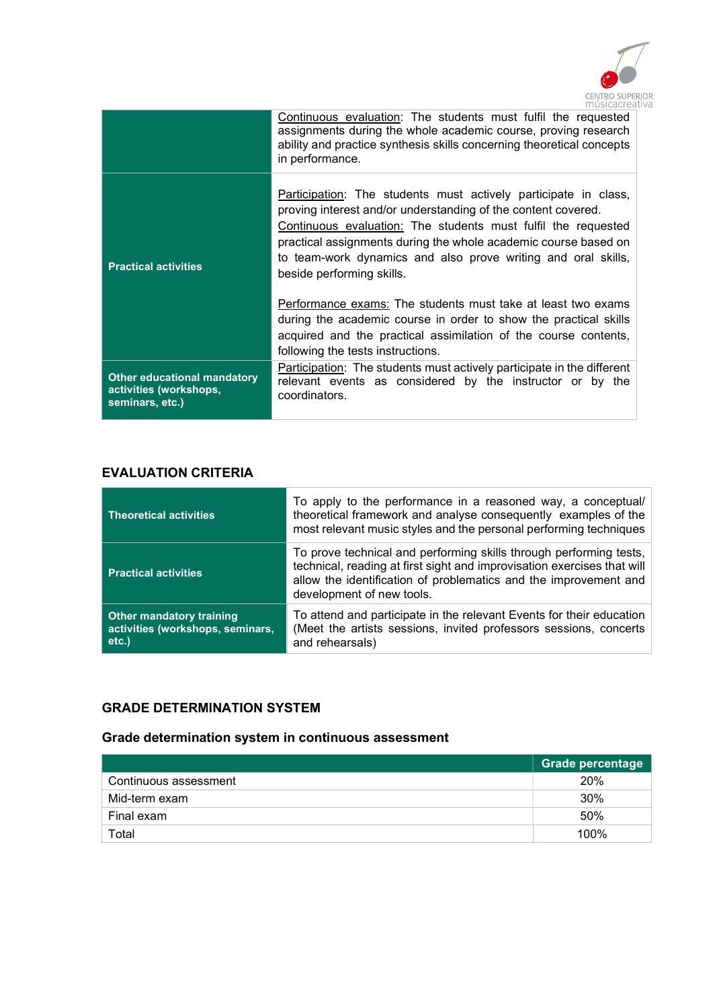

|                                                                                 | $\Box \Box \Box \Box \Box \Box \Box \Box \Box \Box$                                                                                                                                                                                                                                                                                                                |
|---------------------------------------------------------------------------------|--------------------------------------------------------------------------------------------------------------------------------------------------------------------------------------------------------------------------------------------------------------------------------------------------------------------------------------------------------------------|
|                                                                                 | Continuous evaluation: The students must fulfil the requested<br>assignments during the whole academic course, proving research<br>ability and practice synthesis skills concerning theoretical concepts<br>in performance.                                                                                                                                        |
| <b>Practical activities</b>                                                     | Participation: The students must actively participate in class,<br>proving interest and/or understanding of the content covered.<br>Continuous evaluation: The students must fulfil the requested<br>practical assignments during the whole academic course based on<br>to team-work dynamics and also prove writing and oral skills,<br>beside performing skills. |
|                                                                                 | Performance exams: The students must take at least two exams<br>during the academic course in order to show the practical skills<br>acquired and the practical assimilation of the course contents,<br>following the tests instructions.                                                                                                                           |
| <b>Other educational mandatory</b><br>activities (workshops,<br>seminars, etc.) | Participation: The students must actively participate in the different<br>relevant events as considered by the instructor or by the<br>coordinators.                                                                                                                                                                                                               |

# EVALUATION CRITERIA

| <b>Theoretical activities</b>                                                   | To apply to the performance in a reasoned way, a conceptual/<br>theoretical framework and analyse consequently examples of the<br>most relevant music styles and the personal performing techniques                                            |
|---------------------------------------------------------------------------------|------------------------------------------------------------------------------------------------------------------------------------------------------------------------------------------------------------------------------------------------|
| <b>Practical activities</b>                                                     | To prove technical and performing skills through performing tests,<br>technical, reading at first sight and improvisation exercises that will<br>allow the identification of problematics and the improvement and<br>development of new tools. |
| <b>Other mandatory training</b><br>activities (workshops, seminars,<br>$etc.$ ) | To attend and participate in the relevant Events for their education<br>(Meet the artists sessions, invited professors sessions, concerts<br>and rehearsals)                                                                                   |

# GRADE DETERMINATION SYSTEM

# Grade determination system in continuous assessment

|                       | Grade percentage |
|-----------------------|------------------|
| Continuous assessment | 20%              |
| Mid-term exam         | 30%              |
| Final exam            | 50%              |
| Total                 | 100%             |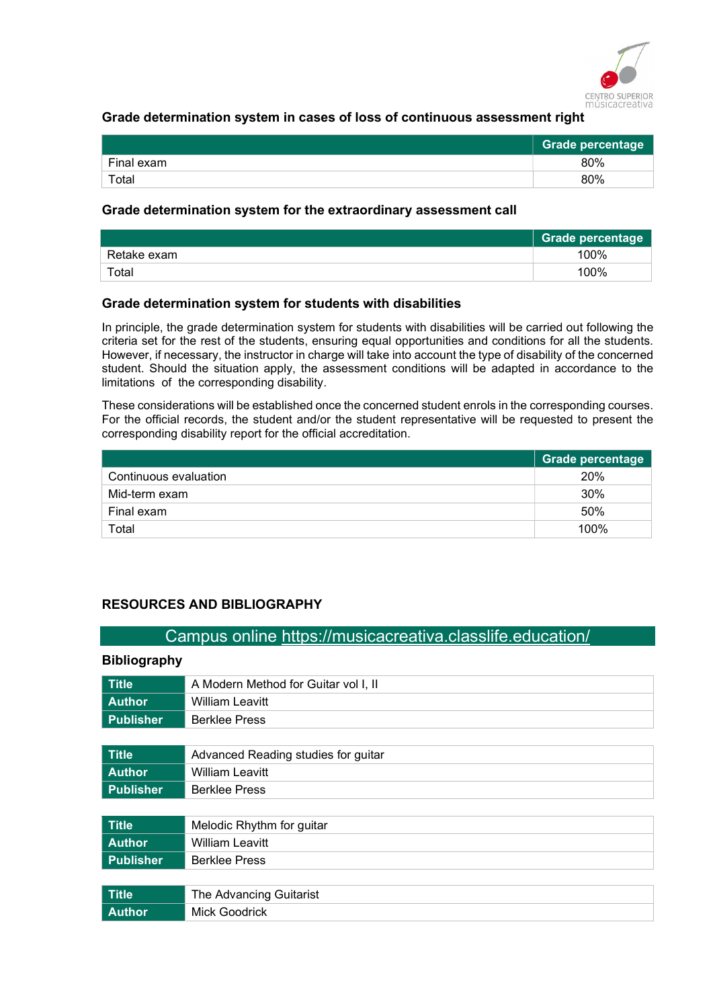

### Grade determination system in cases of loss of continuous assessment right

|                        | Grade percentage |
|------------------------|------------------|
| Final exam             | 80%              |
| $\tau$ <sub>otal</sub> | 80%              |

#### Grade determination system for the extraordinary assessment call

|             | <b>Grade percentage</b> |
|-------------|-------------------------|
| Retake exam | 100%                    |
| Total       | 100%                    |

#### Grade determination system for students with disabilities

In principle, the grade determination system for students with disabilities will be carried out following the criteria set for the rest of the students, ensuring equal opportunities and conditions for all the students. However, if necessary, the instructor in charge will take into account the type of disability of the concerned student. Should the situation apply, the assessment conditions will be adapted in accordance to the limitations of the corresponding disability.

These considerations will be established once the concerned student enrols in the corresponding courses. For the official records, the student and/or the student representative will be requested to present the corresponding disability report for the official accreditation.

|                       | <b>Grade percentage</b> |
|-----------------------|-------------------------|
| Continuous evaluation | 20%                     |
| Mid-term exam         | 30%                     |
| Final exam            | 50%                     |
| Total                 | 100%                    |

### RESOURCES AND BIBLIOGRAPHY

### Campus online https://musicacreativa.classlife.education/

#### Bibliography

| <b>Title</b>     | A Modern Method for Guitar vol I, II |
|------------------|--------------------------------------|
| <b>Author</b>    | <b>William Leavitt</b>               |
| <b>Publisher</b> | <b>Berklee Press</b>                 |
|                  |                                      |
| <b>Title</b>     | Advanced Reading studies for guitar  |
| <b>Author</b>    | <b>William Leavitt</b>               |
| <b>Publisher</b> | <b>Berklee Press</b>                 |
|                  |                                      |
| <b>Title</b>     | Melodic Rhythm for guitar            |
| <b>Author</b>    | <b>William Leavitt</b>               |
| <b>Publisher</b> | <b>Berklee Press</b>                 |
|                  |                                      |
| <b>Title</b>     | The Advancing Guitarist              |
| <b>Author</b>    | <b>Mick Goodrick</b>                 |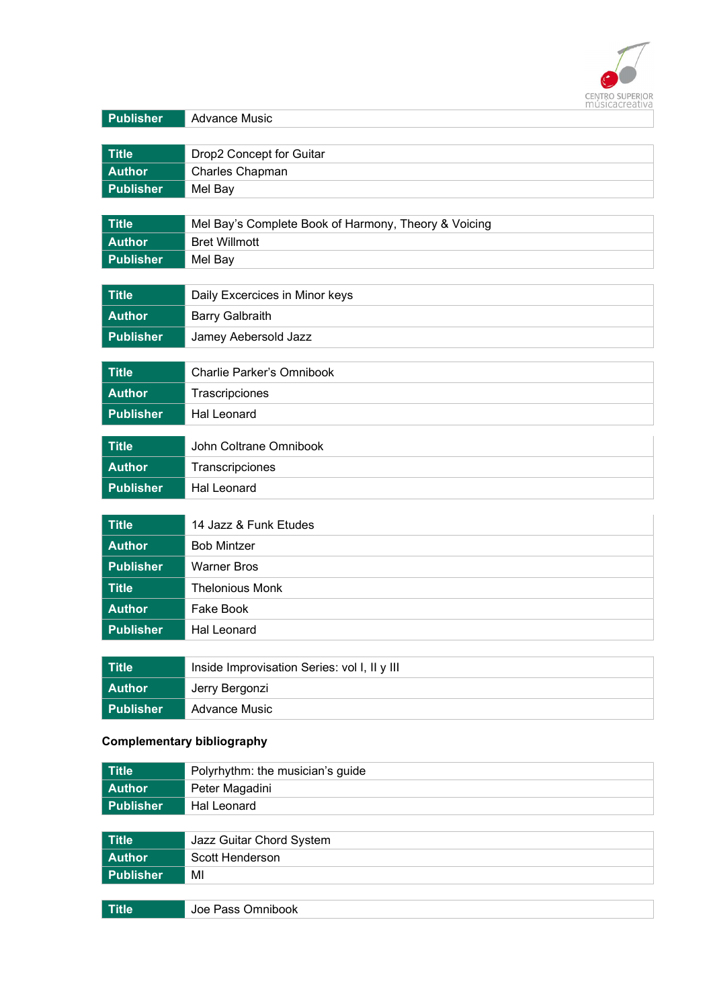

| Publisher        | <b>Advance Music</b>                                 |
|------------------|------------------------------------------------------|
|                  |                                                      |
| <b>Title</b>     | Drop2 Concept for Guitar                             |
| <b>Author</b>    | Charles Chapman                                      |
| <b>Publisher</b> | Mel Bay                                              |
| <b>Title</b>     | Mel Bay's Complete Book of Harmony, Theory & Voicing |
| <b>Author</b>    | <b>Bret Willmott</b>                                 |
| <b>Publisher</b> | Mel Bay                                              |
|                  |                                                      |
| <b>Title</b>     | Daily Excercices in Minor keys                       |
| <b>Author</b>    | <b>Barry Galbraith</b>                               |
| <b>Publisher</b> | Jamey Aebersold Jazz                                 |
|                  |                                                      |
| <b>Title</b>     | Charlie Parker's Omnibook                            |
| <b>Author</b>    | Trascripciones                                       |
| <b>Publisher</b> | <b>Hal Leonard</b>                                   |
| <b>Title</b>     | John Coltrane Omnibook                               |
| <b>Author</b>    |                                                      |
|                  | Transcripciones                                      |
| <b>Publisher</b> | <b>Hal Leonard</b>                                   |
|                  |                                                      |
| <b>Title</b>     | 14 Jazz & Funk Etudes                                |
| <b>Author</b>    | <b>Bob Mintzer</b>                                   |
| <b>Publisher</b> | <b>Warner Bros</b>                                   |
| <b>Title</b>     | <b>Thelonious Monk</b>                               |
| <b>Author</b>    | Fake Book                                            |
| <b>Publisher</b> | <b>Hal Leonard</b>                                   |
|                  |                                                      |
| <b>Title</b>     | Inside Improvisation Series: vol I, II y III         |
| <b>Author</b>    | Jerry Bergonzi                                       |
| <b>Publisher</b> | <b>Advance Music</b>                                 |

# Complementary bibliography

| <b>Title</b>     | Polyrhythm: the musician's guide |  |
|------------------|----------------------------------|--|
| <b>Author</b>    | Peter Magadini                   |  |
| <b>Publisher</b> | Hal Leonard                      |  |
|                  |                                  |  |
| <b>Title</b>     | Jazz Guitar Chord System         |  |
| <b>Author</b>    | Scott Henderson                  |  |
| <b>Publisher</b> | MI                               |  |
|                  |                                  |  |
| <b>Title</b>     | Joe Pass Omnibook                |  |